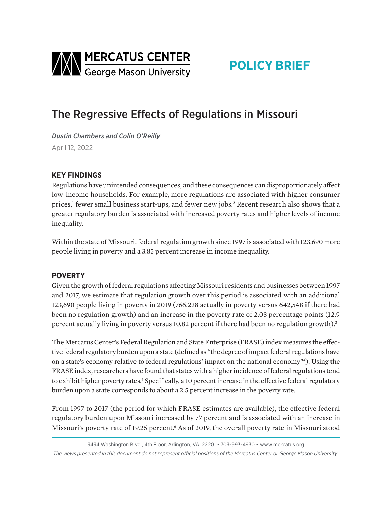<span id="page-0-0"></span>

# **POLICY BRIEF**

## The Regressive Effects of Regulations in Missouri

*Dustin Chambers and Colin O'Reilly*  April 12, 2022

### **KEY FINDINGS**

Regulations have unintended consequences, and these consequences can disproportionately affect low-income households. For example, more regulations are associated with higher consumer prices,<sup>[1](#page-2-0)</sup> fewer small business start-ups, and fewer new jobs.<sup>[2](#page-2-0)</sup> Recent research also shows that a greater regulatory burden is associated with increased poverty rates and higher levels of income inequality.

Within the state of Missouri, federal regulation growth since 1997 is associated with 123,690 more people living in poverty and a 3.85 percent increase in income inequality.

#### **POVERTY**

Given the growth of federal regulations affecting Missouri residents and businesses between 1997 and 2017, we estimate that regulation growth over this period is associated with an additional 123,690 people living in poverty in 2019 (766,238 actually in poverty versus 642,548 if there had been no regulation growth) and an increase in the poverty rate of 2.08 percentage points (12.9 percent actually living in poverty versus 10.82 percent if there had been no regulation growth).<sup>[3](#page-2-0)</sup>

The Mercatus Center's Federal Regulation and State Enterprise (FRASE) index measures the effective federal regulatory burden upon a state (defined as "the degree of impact federal regulations have on a state's economy relative to federal regulations' impact on the national economy["4](#page-2-0) ). Using the FRASE index, researchers have found that states with a higher incidence of federal regulations tend to exhibit higher poverty rates.<sup>5</sup> Specifically, a 10 percent increase in the effective federal regulatory burden upon a state corresponds to about a 2.5 percent increase in the poverty rate.

From 1997 to 2017 (the period for which FRASE estimates are available), the effective federal regulatory burden upon Missouri increased by 77 percent and is associated with an increase in Missouri's poverty rate of 19.25 percent.<sup>6</sup> As of 2019, the overall poverty rate in Missouri stood

<sup>3434</sup> Washington Blvd., 4th Floor, Arlington, VA, 22201 • 703-993-4930 • www.mercatus.org *The views presented in this document do not represent official positions of the Mercatus Center or George Mason University.*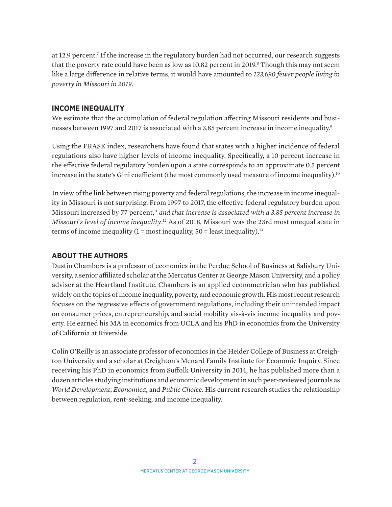<span id="page-1-0"></span>at 12.9 percent[.7](#page-2-0) If the increase in the regulatory burden had not occurred, our research suggests that the poverty rate could have been as low as 10[.8](#page-2-0)2 percent in 2019. $^{\rm 8}$  Though this may not seem like a large difference in relative terms, it would have amounted to *123,690 fewer people living in poverty in Missouri in 2019*.

#### **INCOME INEQUALITY**

We estimate that the accumulation of federal regulation affecting Missouri residents and businesses between 1997 and 2017 is associated with a 3.85 percent increase in income inequality.<sup>9</sup>

Using the FRASE index, researchers have found that states with a higher incidence of federal regulations also have higher levels of income inequality. Specifically, a 10 percent increase in the effective federal regulatory burden upon a state corresponds to an approximate 0.5 percent increase in the state's Gini coefficient (the most commonly used measure of income inequality).<sup>[10](#page-2-0)</sup>

In view of the link between rising poverty and federal regulations, the increase in income inequality in Missouri is not surprising. From 1997 to 2017, the effective federal regulatory burden upon Missouri increased by 77 percent,<sup>[11](#page-2-0)</sup> and that increase is associated with a 3.85 percent increase in *Missouri's level of income inequality*. [12](#page-2-0) As of 2018, Missouri was the 23rd most unequal state in terms of income inequality  $(1 = \text{most inequality}, 50 = \text{least inequality})$ .<sup>13</sup>

#### **ABOUT THE AUTHORS**

Dustin Chambers is a professor of economics in the Perdue School of Business at Salisbury University, a senior affiliated scholar at the Mercatus Center at George Mason University, and a policy adviser at the Heartland Institute. Chambers is an applied econometrician who has published widely on the topics of income inequality, poverty, and economic growth. His most recent research focuses on the regressive effects of government regulations, including their unintended impact on consumer prices, entrepreneurship, and social mobility vis-à-vis income inequality and poverty. He earned his MA in economics from UCLA and his PhD in economics from the University of California at Riverside.

Colin O'Reilly is an associate professor of economics in the Heider College of Business at Creighton University and a scholar at Creighton's Menard Family Institute for Economic Inquiry. Since receiving his PhD in economics from Suffolk University in 2014, he has published more than a dozen articles studying institutions and economic development in such peer-reviewed journals as *World Development*, *Economica*, and *Public Choice*. His current research studies the relationship between regulation, rent-seeking, and income inequality.